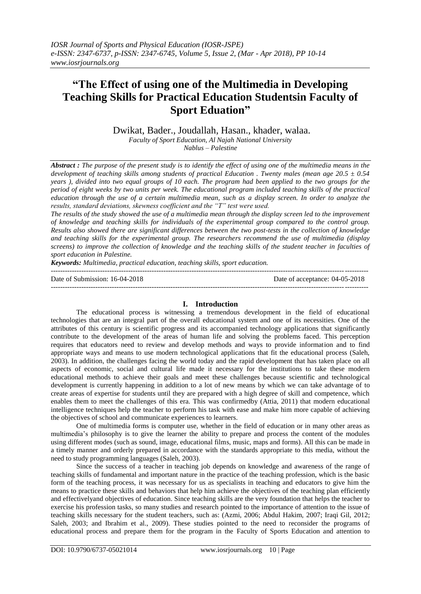# **"The Effect of using one of the Multimedia in Developing Teaching Skills for Practical Education Studentsin Faculty of Sport Eduation"**

Dwikat, Bader., Joudallah, Hasan., khader, walaa.

*Faculty of Sport Education, Al Najah National University Nablus – Palestine*

*Abstract : The purpose of the present study is to identify the effect of using one of the multimedia means in the development of teaching skills among students of practical Education . Twenty males (mean age 20.5 ± 0.54 years ), divided into two equal groups of 10 each. The program had been applied to the two groups for the period of eight weeks by two units per week. The educational program included teaching skills of the practical education through the use of a certain multimedia mean, such as a display screen. In order to analyze the results, standard deviations, skewness coefficient and the "T" test were used.* 

*The results of the study showed the use of a multimedia mean through the display screen led to the improvement of knowledge and teaching skills for individuals of the experimental group compared to the control group. Results also showed there are significant differences between the two post-tests in the collection of knowledge and teaching skills for the experimental group. The researchers recommend the use of multimedia (display screens) to improve the collection of knowledge and the teaching skills of the student teacher in faculties of sport education in Palestine.*

*Keywords: Multimedia, practical education, teaching skills, sport education.*

--------------------------------------------------------------------------------------------------------------------------------------- Date of Submission: 16-04-2018 Date of acceptance: 04-05-2018

---------------------------------------------------------------------------------------------------------------------------------------

## **I. Introduction**

The educational process is witnessing a tremendous development in the field of educational technologies that are an integral part of the overall educational system and one of its necessities. One of the attributes of this century is scientific progress and its accompanied technology applications that significantly contribute to the development of the areas of human life and solving the problems faced. This perception requires that educators need to review and develop methods and ways to provide information and to find appropriate ways and means to use modern technological applications that fit the educational process (Saleh, 2003). In addition, the challenges facing the world today and the rapid development that has taken place on all aspects of economic, social and cultural life made it necessary for the institutions to take these modern educational methods to achieve their goals and meet these challenges because scientific and technological development is currently happening in addition to a lot of new means by which we can take advantage of to create areas of expertise for students until they are prepared with a high degree of skill and competence, which enables them to meet the challenges of this era. This was confirmedby (Attia, 2011) that modern educational intelligence techniques help the teacher to perform his task with ease and make him more capable of achieving the objectives of school and communicate experiences to learners.

One of multimedia forms is computer use, whether in the field of education or in many other areas as multimedia"s philosophy is to give the learner the ability to prepare and process the content of the modules using different modes (such as sound, image, educational films, music, maps and forms). All this can be made in a timely manner and orderly prepared in accordance with the standards appropriate to this media, without the need to study programming languages (Saleh, 2003).

Since the success of a teacher in teaching job depends on knowledge and awareness of the range of teaching skills of fundamental and important nature in the practice of the teaching profession, which is the basic form of the teaching process, it was necessary for us as specialists in teaching and educators to give him the means to practice these skills and behaviors that help him achieve the objectives of the teaching plan efficiently and effectivelyand objectives of education. Since teaching skills are the very foundation that helps the teacher to exercise his profession tasks, so many studies and research pointed to the importance of attention to the issue of teaching skills necessary for the student teachers, such as: (Azmi, 2006; Abdul Hakim, 2007; Iraqi Gil, 2012; Saleh, 2003; and Ibrahim et al., 2009). These studies pointed to the need to reconsider the programs of educational process and prepare them for the program in the Faculty of Sports Education and attention to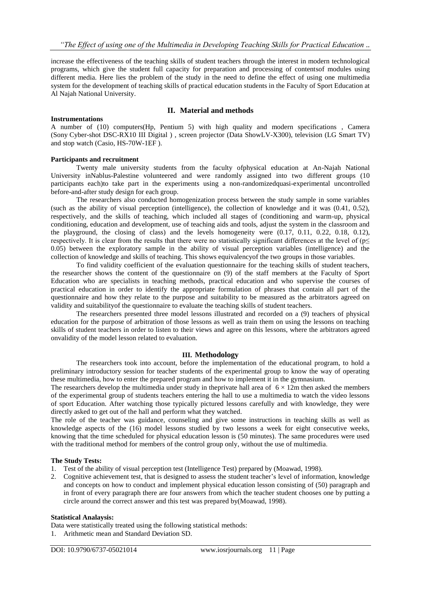increase the effectiveness of the teaching skills of student teachers through the interest in modern technological programs, which give the student full capacity for preparation and processing of contentsof modules using different media. Here lies the problem of the study in the need to define the effect of using one multimedia system for the development of teaching skills of practical education students in the Faculty of Sport Education at Al Najah National University.

## **II. Material and methods**

## **Instrumentations**

A number of (10) computers(Hp, Pentium 5) with high quality and modern specifications , Camera (Sony [Cyber-shot DSC-RX10 III Digital \)](https://www.bhphotovideo.com/c/product/1242612-REG/sony_dsc_rx10m3_cyber_shot_dsc_rx10_iii_digital.html) , screen projector (Data Sho[wLV-X300\)](http://datashowegypt.blogspot.com/2015/05/lv-x300.html), television (LG Smart TV) and stop watch (Casio, HS-70W-1EF ).

## **Participants and recruitment**

Twenty male university students from the faculty ofphysical education at An-Najah National University inNablus-Palestine volunteered and were randomly assigned into two different groups (10 participants each)to take part in the experiments using a non-randomizedquasi-experimental uncontrolled before-and-after study design for each group.

The researchers also conducted homogenization process between the study sample in some variables (such as the ability of visual perception (intelligence), the collection of knowledge and it was (0.41, 0.52), respectively, and the skills of teaching, which included all stages of (conditioning and warm-up, physical conditioning, education and development, use of teaching aids and tools, adjust the system in the classroom and the playground, the closing of class) and the levels homogeneity were (0.17, 0.11, 0.22, 0.18, 0.12), respectively. It is clear from the results that there were no statistically significant differences at the level of ( $p\leq$ 0.05) between the exploratory sample in the ability of visual perception variables (intelligence) and the collection of knowledge and skills of teaching. This shows equivalencyof the two groups in those variables.

To find validity coefficient of the evaluation questionnaire for the teaching skills of student teachers, the researcher shows the content of the questionnaire on (9) of the staff members at the Faculty of Sport Education who are specialists in teaching methods, practical education and who supervise the courses of practical education in order to identify the appropriate formulation of phrases that contain all part of the questionnaire and how they relate to the purpose and suitability to be measured as the arbitrators agreed on validity and suitabilityof the questionnaire to evaluate the teaching skills of student teachers.

The researchers presented three model lessons illustrated and recorded on a (9) teachers of physical education for the purpose of arbitration of those lessons as well as train them on using the lessons on teaching skills of student teachers in order to listen to their views and agree on this lessons, where the arbitrators agreed onvalidity of the model lesson related to evaluation.

### **III. Methodology**

The researchers took into account, before the implementation of the educational program, to hold a preliminary introductory session for teacher students of the experimental group to know the way of operating these multimedia, how to enter the prepared program and how to implement it in the gymnasium.

The researchers develop the multimedia under study in the private hall area of  $6 \times 12$ m then asked the members of the experimental group of students teachers entering the hall to use a multimedia to watch the video lessons of sport Education. After watching those typically pictured lessons carefully and with knowledge, they were directly asked to get out of the hall and perform what they watched.

The role of the teacher was guidance, counseling and give some instructions in teaching skills as well as knowledge aspects of the (16) model lessons studied by two lessons a week for eight consecutive weeks, knowing that the time scheduled for physical education lesson is (50 minutes). The same procedures were used with the traditional method for members of the control group only, without the use of multimedia.

### **The Study Tests:**

- 1. Test of the ability of visual perception test (Intelligence Test) prepared by (Moawad, 1998).
- 2. Cognitive achievement test, that is designed to assess the student teacher"s level of information, knowledge and concepts on how to conduct and implement physical education lesson consisting of (50) paragraph and in front of every paragraph there are four answers from which the teacher student chooses one by putting a circle around the correct answer and this test was prepared by(Moawad, 1998).

### **Statistical Analaysis:**

Data were statistically treated using the following statistical methods:

1. Arithmetic mean and Standard Deviation SD.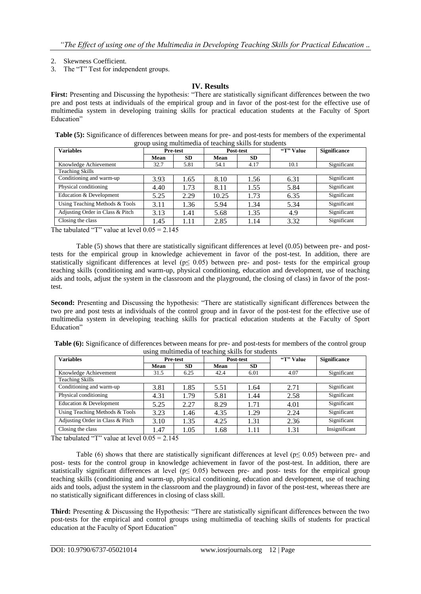- 2. Skewness Coefficient.
- 3. The "T" Test for independent groups.

## **IV. Results**

**First:** Presenting and Discussing the hypothesis: "There are statistically significant differences between the two pre and post tests at individuals of the empirical group and in favor of the post-test for the effective use of multimedia system in developing training skills for practical education students at the Faculty of Sport Education"

| Table (5): Significance of differences between means for pre- and post-tests for members of the experimental |
|--------------------------------------------------------------------------------------------------------------|
| group using multimedia of teaching skills for students                                                       |

| $\circ$<br><b>Variables</b>      | <b>Pre-test</b> |           | Post-test |           | "T" Value | <b>Significance</b> |
|----------------------------------|-----------------|-----------|-----------|-----------|-----------|---------------------|
|                                  | Mean            | <b>SD</b> | Mean      | <b>SD</b> |           |                     |
| Knowledge Achievement            | 32.7            | 5.81      | 54.1      | 4.17      | 10.1      | Significant         |
| <b>Teaching Skills</b>           |                 |           |           |           |           |                     |
| Conditioning and warm-up         | 3.93            | 1.65      | 8.10      | 1.56      | 6.31      | Significant         |
| Physical conditioning            | 4.40            | 1.73      | 8.11      | 1.55      | 5.84      | Significant         |
| Education & Development          | 5.25            | 2.29      | 10.25     | 1.73      | 6.35      | Significant         |
| Using Teaching Methods & Tools   | 3.11            | 1.36      | 5.94      | 1.34      | 5.34      | Significant         |
| Adjusting Order in Class & Pitch | 3.13            | 1.41      | 5.68      | 1.35      | 4.9       | Significant         |
| Closing the class                | 1.45            | 1.11      | 2.85      | 1.14      | 3.32      | Significant         |

The tabulated "T" value at level  $0.05 = 2.145$ 

Table (5) shows that there are statistically significant differences at level (0.05) between pre- and posttests for the empirical group in knowledge achievement in favor of the post-test. In addition, there are statistically significant differences at level ( $p \le 0.05$ ) between pre- and post- tests for the empirical group teaching skills (conditioning and warm-up, physical conditioning, education and development, use of teaching aids and tools, adjust the system in the classroom and the playground, the closing of class) in favor of the posttest.

**Second:** Presenting and Discussing the hypothesis: "There are statistically significant differences between the two pre and post tests at individuals of the control group and in favor of the post-test for the effective use of multimedia system in developing teaching skills for practical education students at the Faculty of Sport Education"

| Table (6): Significance of differences between means for pre- and post-tests for members of the control group |
|---------------------------------------------------------------------------------------------------------------|
| using multimedia of teaching skills for students                                                              |

| <b>Variables</b>                 | Pre-test |           | Post-test |           | "T" Value | <b>Significance</b>             |
|----------------------------------|----------|-----------|-----------|-----------|-----------|---------------------------------|
|                                  | Mean     | <b>SD</b> | Mean      | <b>SD</b> |           |                                 |
| Knowledge Achievement            | 31.5     | 6.25      | 42.4      | 6.01      | 4.07      | Significant                     |
| <b>Teaching Skills</b>           |          |           |           |           |           |                                 |
| Conditioning and warm-up         | 3.81     | 1.85      | 5.51      | 1.64      | 2.71      | Significant                     |
| Physical conditioning            | 4.31     | 1.79      | 5.81      | 1.44      | 2.58      | $\overline{\text{Significant}}$ |
| Education & Development          | 5.25     | 2.27      | 8.29      | 1.71      | 4.01      | Significant                     |
| Using Teaching Methods & Tools   | 3.23     | 1.46      | 4.35      | 1.29      | 2.24      | Significant                     |
| Adjusting Order in Class & Pitch | 3.10     | 1.35      | 4.25      | 1.31      | 2.36      | Significant                     |
| Closing the class                | 1.47     | 1.05      | 1.68      | 1.11      | 1.31      | Insignificant                   |

The tabulated "T" value at level  $0.05 = 2.145$ 

Table (6) shows that there are statistically significant differences at level ( $p \le 0.05$ ) between pre- and post- tests for the control group in knowledge achievement in favor of the post-test. In addition, there are statistically significant differences at level ( $p \le 0.05$ ) between pre- and post- tests for the empirical group teaching skills (conditioning and warm-up, physical conditioning, education and development, use of teaching aids and tools, adjust the system in the classroom and the playground) in favor of the post-test, whereas there are no statistically significant differences in closing of class skill.

**Third:** Presenting & Discussing the Hypothesis: "There are statistically significant differences between the two post-tests for the empirical and control groups using multimedia of teaching skills of students for practical education at the Faculty of Sport Education"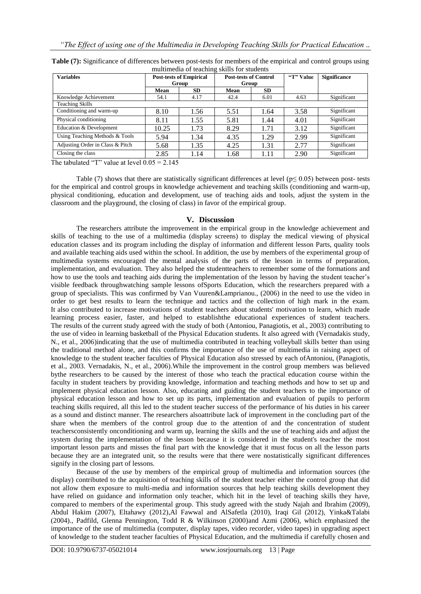| <b>Variables</b>                 | <b>Post-tests of Empirical</b><br>Group |           | <b>Post-tests of Control</b><br>Group |           | "T" Value | <b>Significance</b> |
|----------------------------------|-----------------------------------------|-----------|---------------------------------------|-----------|-----------|---------------------|
|                                  | Mean                                    | <b>SD</b> | Mean                                  | <b>SD</b> |           |                     |
| Knowledge Achievement            | 54.1                                    | 4.17      | 42.4                                  | 6.01      | 4.63      | Significant         |
| <b>Teaching Skills</b>           |                                         |           |                                       |           |           |                     |
| Conditioning and warm-up         | 8.10                                    | 1.56      | 5.51                                  | 1.64      | 3.58      | Significant         |
| Physical conditioning            | 8.11                                    | 1.55      | 5.81                                  | 1.44      | 4.01      | Significant         |
| Education & Development          | 10.25                                   | 1.73      | 8.29                                  | 1.71      | 3.12      | Significant         |
| Using Teaching Methods & Tools   | 5.94                                    | 1.34      | 4.35                                  | 1.29      | 2.99      | Significant         |
| Adjusting Order in Class & Pitch | 5.68                                    | 1.35      | 4.25                                  | 1.31      | 2.77      | Significant         |
| Closing the class                | 2.85                                    | 1.14      | 1.68                                  | 1.11      | 2.90      | Significant         |

**Table (7):** Significance of differences between post-tests for members of the empirical and control groups using multimedia of teaching skills for students

The tabulated "T" value at level  $0.05 = 2.145$ 

Table (7) shows that there are statistically significant differences at level ( $p \le 0.05$ ) between post- tests for the empirical and control groups in knowledge achievement and teaching skills (conditioning and warm-up, physical conditioning, education and development, use of teaching aids and tools, adjust the system in the classroom and the playground, the closing of class) in favor of the empirical group.

## **V. Discussion**

The researchers attribute the improvement in the empirical group in the knowledge achievement and skills of teaching to the use of a multimedia (display screens) to display the medical viewing of physical education classes and its program including the display of information and different lesson Parts, quality tools and available teaching aids used within the school. In addition, the use by members of the experimental group of multimedia systems encouraged the mental analysis of the parts of the lesson in terms of preparation, implementation, and evaluation. They also helped the studentteachers to remember some of the formations and how to use the tools and teaching aids during the implementation of the lesson by having the student teacher"s visible feedback throughwatching sample lessons ofSports Education, which the researchers prepared with a group of specialists. This was confirmed by Van Vuuren&Lamprianou., (2006) in the need to use the video in order to get best results to learn the technique and tactics and the collection of high mark in the exam. It also contributed to increase motivations of student teachers about students' motivation to learn, which made learning process easier, faster, and helped to establishthe educational experiences of student teachers. The results of the current study agreed with the study of both (Antoniou, Panagiotis, et al., 2003) contributing to the use of video in learning basketball of the Physical Education students. It also agreed with (Vernadakis study, N., et al., 2006)indicating that the use of multimedia contributed in teaching volleyball skills better than using the traditional method alone, and this confirms the importance of the use of multimedia in raising aspect of knowledge to the student teacher faculties of Physical Education also stressed by each ofAntoniou, (Panagiotis, et al., 2003. Vernadakis, N., et al., 2006).While the improvement in the control group members was believed bythe researchers to be caused by the interest of those who teach the practical education course within the faculty in student teachers by providing knowledge, information and teaching methods and how to set up and implement physical education lesson. Also, educating and guiding the student teachers to the importance of physical education lesson and how to set up its parts, implementation and evaluation of pupils to perform teaching skills required, all this led to the student teacher success of the performance of his duties in his career as a sound and distinct manner. The researchers alsoattribute lack of improvement in the concluding part of the share when the members of the control group due to the attention of and the concentration of student teachersconsistently onconditioning and warm up, learning the skills and the use of teaching aids and adjust the system during the implementation of the lesson because it is considered in the student's teacher the most important lesson parts and misses the final part with the knowledge that it must focus on all the lesson parts because they are an integrated unit, so the results were that there were nostatistically significant differences signify in the closing part of lessons.

Because of the use by members of the empirical group of multimedia and information sources (the display) contributed to the acquisition of teaching skills of the student teacher either the control group that did not allow them exposure to multi-media and information sources that help teaching skills development they have relied on guidance and information only teacher, which hit in the level of teaching skills they have, compared to members of the experimental group. This study agreed with the study Najah and Ibrahim (2009), Abdul Hakim (2007), Eltahawy (2012),Al Fawwal and AlSafetla (2010), Iraqi Gil (2012), Yinka&Talabi (2004)., Padfild, Glenna Pennington, Todd R & Wilkinson (2000)and Azmi (2006), which emphasized the importance of the use of multimedia (computer, display tapes, video recorder, video tapes) in upgrading aspect of knowledge to the student teacher faculties of Physical Education, and the multimedia if carefully chosen and